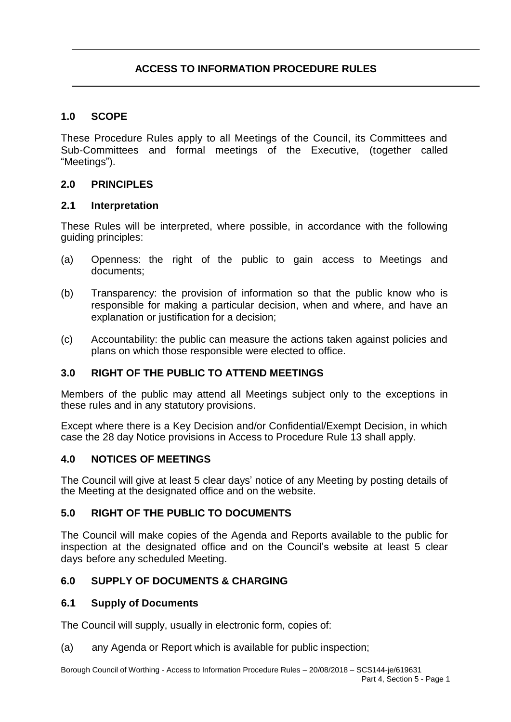# **1.0 SCOPE**

These Procedure Rules apply to all Meetings of the Council, its Committees and Sub-Committees and formal meetings of the Executive, (together called "Meetings").

### **2.0 PRINCIPLES**

#### **2.1 Interpretation**

These Rules will be interpreted, where possible, in accordance with the following guiding principles:

- (a) Openness: the right of the public to gain access to Meetings and documents;
- (b) Transparency: the provision of information so that the public know who is responsible for making a particular decision, when and where, and have an explanation or justification for a decision;
- (c) Accountability: the public can measure the actions taken against policies and plans on which those responsible were elected to office.

# **3.0 RIGHT OF THE PUBLIC TO ATTEND MEETINGS**

Members of the public may attend all Meetings subject only to the exceptions in these rules and in any statutory provisions.

Except where there is a Key Decision and/or Confidential/Exempt Decision, in which case the 28 day Notice provisions in Access to Procedure Rule 13 shall apply.

### **4.0 NOTICES OF MEETINGS**

The Council will give at least 5 clear days' notice of any Meeting by posting details of the Meeting at the designated office and on the website.

### **5.0 RIGHT OF THE PUBLIC TO DOCUMENTS**

The Council will make copies of the Agenda and Reports available to the public for inspection at the designated office and on the Council's website at least 5 clear days before any scheduled Meeting.

# **6.0 SUPPLY OF DOCUMENTS & CHARGING**

### **6.1 Supply of Documents**

The Council will supply, usually in electronic form, copies of:

(a) any Agenda or Report which is available for public inspection;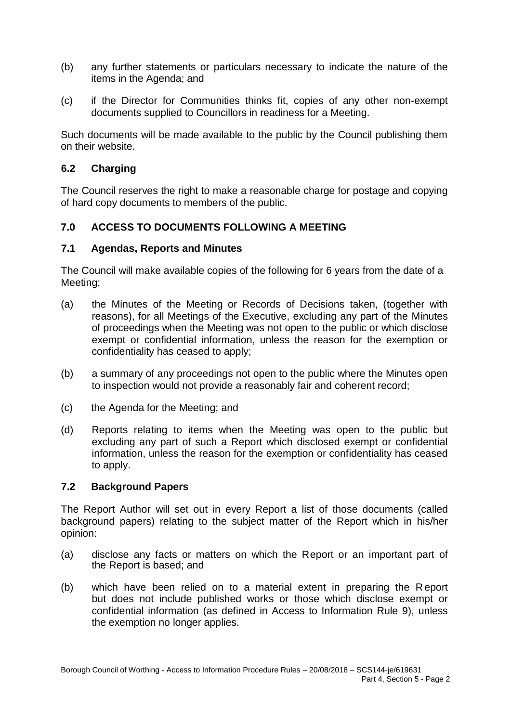- (b) any further statements or particulars necessary to indicate the nature of the items in the Agenda; and
- (c) if the Director for Communities thinks fit, copies of any other non-exempt documents supplied to Councillors in readiness for a Meeting.

Such documents will be made available to the public by the Council publishing them on their website.

## **6.2 Charging**

The Council reserves the right to make a reasonable charge for postage and copying of hard copy documents to members of the public.

# **7.0 ACCESS TO DOCUMENTS FOLLOWING A MEETING**

#### **7.1 Agendas, Reports and Minutes**

The Council will make available copies of the following for 6 years from the date of a Meeting:

- (a) the Minutes of the Meeting or Records of Decisions taken, (together with reasons), for all Meetings of the Executive, excluding any part of the Minutes of proceedings when the Meeting was not open to the public or which disclose exempt or confidential information, unless the reason for the exemption or confidentiality has ceased to apply;
- (b) a summary of any proceedings not open to the public where the Minutes open to inspection would not provide a reasonably fair and coherent record;
- (c) the Agenda for the Meeting; and
- (d) Reports relating to items when the Meeting was open to the public but excluding any part of such a Report which disclosed exempt or confidential information, unless the reason for the exemption or confidentiality has ceased to apply.

#### **7.2 Background Papers**

The Report Author will set out in every Report a list of those documents (called background papers) relating to the subject matter of the Report which in his/her opinion:

- (a) disclose any facts or matters on which the Report or an important part of the Report is based; and
- (b) which have been relied on to a material extent in preparing the R eport but does not include published works or those which disclose exempt or confidential information (as defined in Access to Information Rule 9), unless the exemption no longer applies.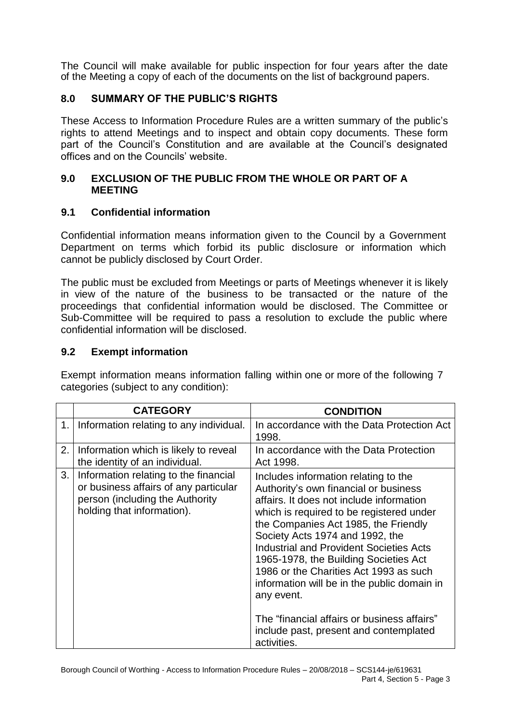The Council will make available for public inspection for four years after the date of the Meeting a copy of each of the documents on the list of background papers.

# **8.0 SUMMARY OF THE PUBLIC'S RIGHTS**

These Access to Information Procedure Rules are a written summary of the public's rights to attend Meetings and to inspect and obtain copy documents. These form part of the Council's Constitution and are available at the Council's designated offices and on the Councils' website.

## **9.0 EXCLUSION OF THE PUBLIC FROM THE WHOLE OR PART OF A MEETING**

# **9.1 Confidential information**

Confidential information means information given to the Council by a Government Department on terms which forbid its public disclosure or information which cannot be publicly disclosed by Court Order.

The public must be excluded from Meetings or parts of Meetings whenever it is likely in view of the nature of the business to be transacted or the nature of the proceedings that confidential information would be disclosed. The Committee or Sub-Committee will be required to pass a resolution to exclude the public where confidential information will be disclosed.

## **9.2 Exempt information**

Exempt information means information falling within one or more of the following 7 categories (subject to any condition):

|    | <b>CATEGORY</b>                                                                                                                                 | <b>CONDITION</b>                                                                                                                                                                                                                                                                                                                                                                                                                                                                                                                                           |
|----|-------------------------------------------------------------------------------------------------------------------------------------------------|------------------------------------------------------------------------------------------------------------------------------------------------------------------------------------------------------------------------------------------------------------------------------------------------------------------------------------------------------------------------------------------------------------------------------------------------------------------------------------------------------------------------------------------------------------|
| 1. | Information relating to any individual.                                                                                                         | In accordance with the Data Protection Act<br>1998.                                                                                                                                                                                                                                                                                                                                                                                                                                                                                                        |
| 2. | Information which is likely to reveal<br>the identity of an individual.                                                                         | In accordance with the Data Protection<br>Act 1998.                                                                                                                                                                                                                                                                                                                                                                                                                                                                                                        |
| 3. | Information relating to the financial<br>or business affairs of any particular<br>person (including the Authority<br>holding that information). | Includes information relating to the<br>Authority's own financial or business<br>affairs. It does not include information<br>which is required to be registered under<br>the Companies Act 1985, the Friendly<br>Society Acts 1974 and 1992, the<br><b>Industrial and Provident Societies Acts</b><br>1965-1978, the Building Societies Act<br>1986 or the Charities Act 1993 as such<br>information will be in the public domain in<br>any event.<br>The "financial affairs or business affairs"<br>include past, present and contemplated<br>activities. |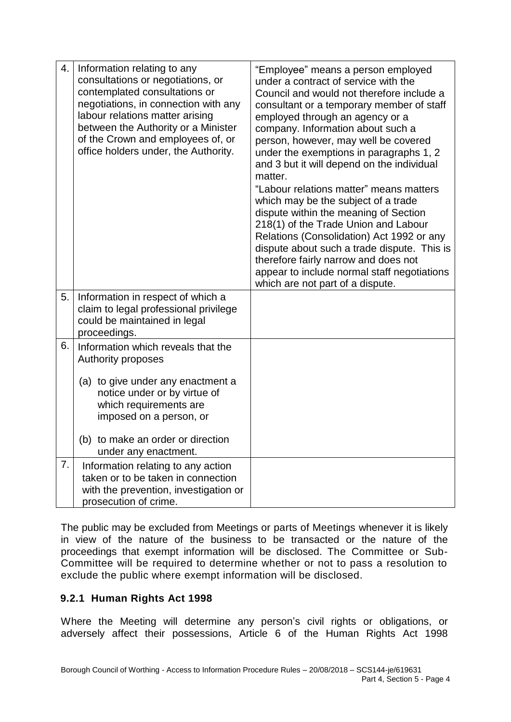| 4. | Information relating to any<br>consultations or negotiations, or<br>contemplated consultations or<br>negotiations, in connection with any<br>labour relations matter arising<br>between the Authority or a Minister<br>of the Crown and employees of, or<br>office holders under, the Authority. | "Employee" means a person employed<br>under a contract of service with the<br>Council and would not therefore include a<br>consultant or a temporary member of staff<br>employed through an agency or a<br>company. Information about such a<br>person, however, may well be covered<br>under the exemptions in paragraphs 1, 2<br>and 3 but it will depend on the individual<br>matter.<br>"Labour relations matter" means matters<br>which may be the subject of a trade<br>dispute within the meaning of Section<br>218(1) of the Trade Union and Labour<br>Relations (Consolidation) Act 1992 or any<br>dispute about such a trade dispute. This is<br>therefore fairly narrow and does not<br>appear to include normal staff negotiations<br>which are not part of a dispute. |
|----|--------------------------------------------------------------------------------------------------------------------------------------------------------------------------------------------------------------------------------------------------------------------------------------------------|------------------------------------------------------------------------------------------------------------------------------------------------------------------------------------------------------------------------------------------------------------------------------------------------------------------------------------------------------------------------------------------------------------------------------------------------------------------------------------------------------------------------------------------------------------------------------------------------------------------------------------------------------------------------------------------------------------------------------------------------------------------------------------|
| 5. | Information in respect of which a<br>claim to legal professional privilege<br>could be maintained in legal<br>proceedings.                                                                                                                                                                       |                                                                                                                                                                                                                                                                                                                                                                                                                                                                                                                                                                                                                                                                                                                                                                                    |
| 6. | Information which reveals that the<br>Authority proposes<br>(a) to give under any enactment a<br>notice under or by virtue of<br>which requirements are<br>imposed on a person, or<br>(b) to make an order or direction<br>under any enactment.                                                  |                                                                                                                                                                                                                                                                                                                                                                                                                                                                                                                                                                                                                                                                                                                                                                                    |
| 7. | Information relating to any action<br>taken or to be taken in connection<br>with the prevention, investigation or<br>prosecution of crime.                                                                                                                                                       |                                                                                                                                                                                                                                                                                                                                                                                                                                                                                                                                                                                                                                                                                                                                                                                    |

The public may be excluded from Meetings or parts of Meetings whenever it is likely in view of the nature of the business to be transacted or the nature of the proceedings that exempt information will be disclosed. The Committee or Sub-Committee will be required to determine whether or not to pass a resolution to exclude the public where exempt information will be disclosed.

# **9.2.1 Human Rights Act 1998**

Where the Meeting will determine any person's civil rights or obligations, or adversely affect their possessions, Article 6 of the Human Rights Act 1998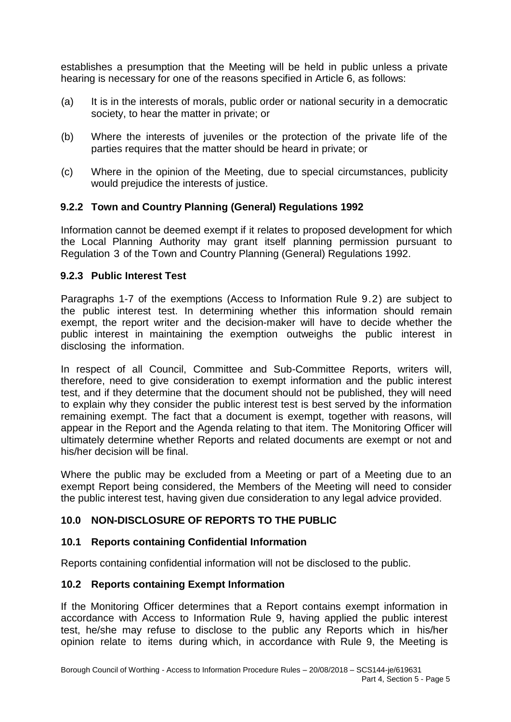establishes a presumption that the Meeting will be held in public unless a private hearing is necessary for one of the reasons specified in Article 6, as follows:

- (a) It is in the interests of morals, public order or national security in a democratic society, to hear the matter in private; or
- (b) Where the interests of juveniles or the protection of the private life of the parties requires that the matter should be heard in private; or
- (c) Where in the opinion of the Meeting, due to special circumstances, publicity would prejudice the interests of justice.

# **9.2.2 Town and Country Planning (General) Regulations 1992**

Information cannot be deemed exempt if it relates to proposed development for which the Local Planning Authority may grant itself planning permission pursuant to Regulation 3 of the Town and Country Planning (General) Regulations 1992.

## **9.2.3 Public Interest Test**

Paragraphs 1-7 of the exemptions (Access to Information Rule 9.2) are subject to the public interest test. In determining whether this information should remain exempt, the report writer and the decision-maker will have to decide whether the public interest in maintaining the exemption outweighs the public interest in disclosing the information.

In respect of all Council, Committee and Sub-Committee Reports, writers will, therefore, need to give consideration to exempt information and the public interest test, and if they determine that the document should not be published, they will need to explain why they consider the public interest test is best served by the information remaining exempt. The fact that a document is exempt, together with reasons, will appear in the Report and the Agenda relating to that item. The Monitoring Officer will ultimately determine whether Reports and related documents are exempt or not and his/her decision will be final.

Where the public may be excluded from a Meeting or part of a Meeting due to an exempt Report being considered, the Members of the Meeting will need to consider the public interest test, having given due consideration to any legal advice provided.

# **10.0 NON-DISCLOSURE OF REPORTS TO THE PUBLIC**

### **10.1 Reports containing Confidential Information**

Reports containing confidential information will not be disclosed to the public.

### **10.2 Reports containing Exempt Information**

If the Monitoring Officer determines that a Report contains exempt information in accordance with Access to Information Rule 9, having applied the public interest test, he/she may refuse to disclose to the public any Reports which in his/her opinion relate to items during which, in accordance with Rule 9, the Meeting is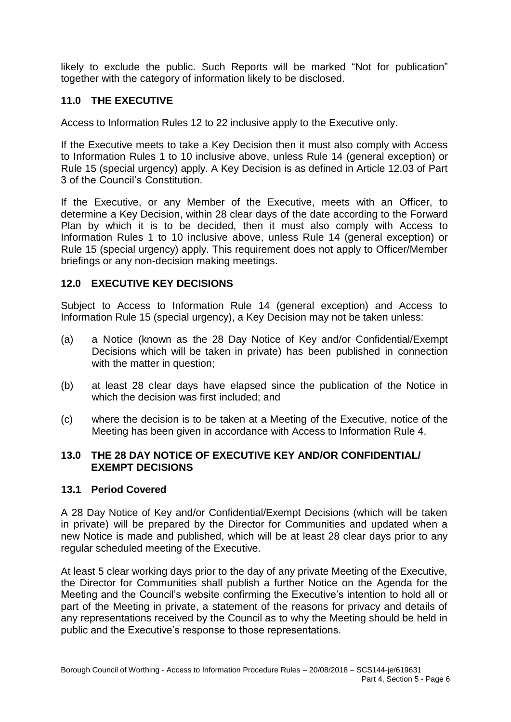likely to exclude the public. Such Reports will be marked "Not for publication" together with the category of information likely to be disclosed.

# **11.0 THE EXECUTIVE**

Access to Information Rules 12 to 22 inclusive apply to the Executive only.

If the Executive meets to take a Key Decision then it must also comply with Access to Information Rules 1 to 10 inclusive above, unless Rule 14 (general exception) or Rule 15 (special urgency) apply. A Key Decision is as defined in Article 12.03 of Part 3 of the Council's Constitution.

If the Executive, or any Member of the Executive, meets with an Officer, to determine a Key Decision, within 28 clear days of the date according to the Forward Plan by which it is to be decided, then it must also comply with Access to Information Rules 1 to 10 inclusive above, unless Rule 14 (general exception) or Rule 15 (special urgency) apply. This requirement does not apply to Officer/Member briefings or any non-decision making meetings.

# **12.0 EXECUTIVE KEY DECISIONS**

Subject to Access to Information Rule 14 (general exception) and Access to Information Rule 15 (special urgency), a Key Decision may not be taken unless:

- (a) a Notice (known as the 28 Day Notice of Key and/or Confidential/Exempt Decisions which will be taken in private) has been published in connection with the matter in question;
- (b) at least 28 clear days have elapsed since the publication of the Notice in which the decision was first included; and
- (c) where the decision is to be taken at a Meeting of the Executive, notice of the Meeting has been given in accordance with Access to Information Rule 4.

## **13.0 THE 28 DAY NOTICE OF EXECUTIVE KEY AND/OR CONFIDENTIAL/ EXEMPT DECISIONS**

### **13.1 Period Covered**

A 28 Day Notice of Key and/or Confidential/Exempt Decisions (which will be taken in private) will be prepared by the Director for Communities and updated when a new Notice is made and published, which will be at least 28 clear days prior to any regular scheduled meeting of the Executive.

At least 5 clear working days prior to the day of any private Meeting of the Executive, the Director for Communities shall publish a further Notice on the Agenda for the Meeting and the Council's website confirming the Executive's intention to hold all or part of the Meeting in private, a statement of the reasons for privacy and details of any representations received by the Council as to why the Meeting should be held in public and the Executive's response to those representations.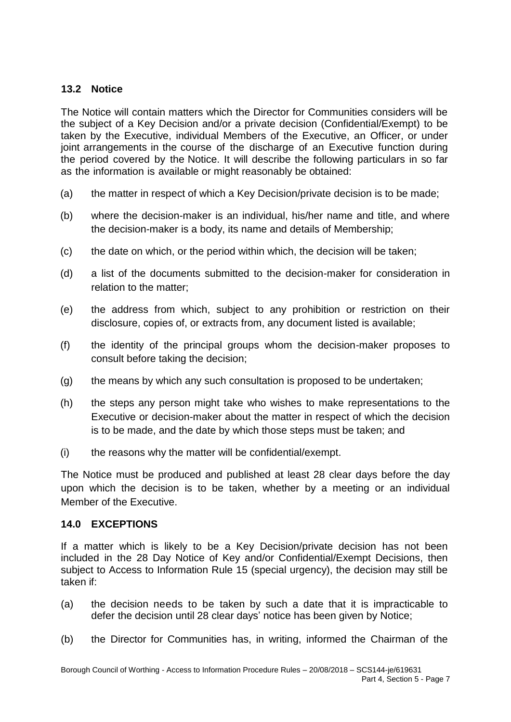## **13.2 Notice**

The Notice will contain matters which the Director for Communities considers will be the subject of a Key Decision and/or a private decision (Confidential/Exempt) to be taken by the Executive, individual Members of the Executive, an Officer, or under joint arrangements in the course of the discharge of an Executive function during the period covered by the Notice. It will describe the following particulars in so far as the information is available or might reasonably be obtained:

- (a) the matter in respect of which a Key Decision/private decision is to be made;
- (b) where the decision-maker is an individual, his/her name and title, and where the decision-maker is a body, its name and details of Membership;
- (c) the date on which, or the period within which, the decision will be taken;
- (d) a list of the documents submitted to the decision-maker for consideration in relation to the matter;
- (e) the address from which, subject to any prohibition or restriction on their disclosure, copies of, or extracts from, any document listed is available;
- (f) the identity of the principal groups whom the decision-maker proposes to consult before taking the decision;
- (g) the means by which any such consultation is proposed to be undertaken;
- (h) the steps any person might take who wishes to make representations to the Executive or decision-maker about the matter in respect of which the decision is to be made, and the date by which those steps must be taken; and
- (i) the reasons why the matter will be confidential/exempt.

The Notice must be produced and published at least 28 clear days before the day upon which the decision is to be taken, whether by a meeting or an individual Member of the Executive.

# **14.0 EXCEPTIONS**

If a matter which is likely to be a Key Decision/private decision has not been included in the 28 Day Notice of Key and/or Confidential/Exempt Decisions, then subject to Access to Information Rule 15 (special urgency), the decision may still be taken if:

- (a) the decision needs to be taken by such a date that it is impracticable to defer the decision until 28 clear days' notice has been given by Notice;
- (b) the Director for Communities has, in writing, informed the Chairman of the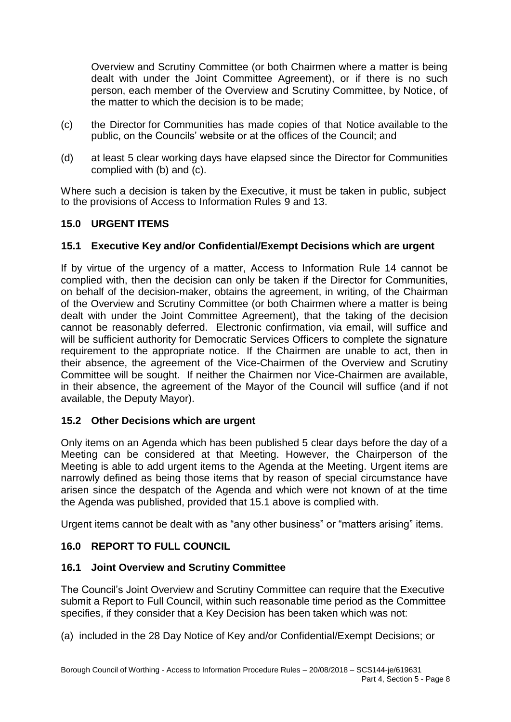Overview and Scrutiny Committee (or both Chairmen where a matter is being dealt with under the Joint Committee Agreement), or if there is no such person, each member of the Overview and Scrutiny Committee, by Notice, of the matter to which the decision is to be made;

- (c) the Director for Communities has made copies of that Notice available to the public, on the Councils' website or at the offices of the Council; and
- (d) at least 5 clear working days have elapsed since the Director for Communities complied with (b) and (c).

Where such a decision is taken by the Executive, it must be taken in public, subject to the provisions of Access to Information Rules 9 and 13.

## **15.0 URGENT ITEMS**

## **15.1 Executive Key and/or Confidential/Exempt Decisions which are urgent**

If by virtue of the urgency of a matter, Access to Information Rule 14 cannot be complied with, then the decision can only be taken if the Director for Communities, on behalf of the decision-maker, obtains the agreement, in writing, of the Chairman of the Overview and Scrutiny Committee (or both Chairmen where a matter is being dealt with under the Joint Committee Agreement), that the taking of the decision cannot be reasonably deferred. Electronic confirmation, via email, will suffice and will be sufficient authority for Democratic Services Officers to complete the signature requirement to the appropriate notice. If the Chairmen are unable to act, then in their absence, the agreement of the Vice-Chairmen of the Overview and Scrutiny Committee will be sought. If neither the Chairmen nor Vice-Chairmen are available, in their absence, the agreement of the Mayor of the Council will suffice (and if not available, the Deputy Mayor).

### **15.2 Other Decisions which are urgent**

Only items on an Agenda which has been published 5 clear days before the day of a Meeting can be considered at that Meeting. However, the Chairperson of the Meeting is able to add urgent items to the Agenda at the Meeting. Urgent items are narrowly defined as being those items that by reason of special circumstance have arisen since the despatch of the Agenda and which were not known of at the time the Agenda was published, provided that 15.1 above is complied with.

Urgent items cannot be dealt with as "any other business" or "matters arising" items.

# **16.0 REPORT TO FULL COUNCIL**

### **16.1 Joint Overview and Scrutiny Committee**

The Council's Joint Overview and Scrutiny Committee can require that the Executive submit a Report to Full Council, within such reasonable time period as the Committee specifies, if they consider that a Key Decision has been taken which was not:

(a) included in the 28 Day Notice of Key and/or Confidential/Exempt Decisions; or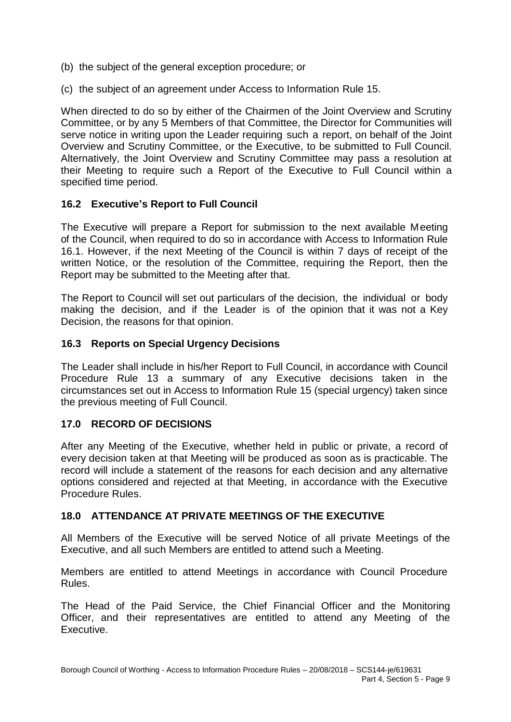- (b) the subject of the general exception procedure; or
- (c) the subject of an agreement under Access to Information Rule 15.

When directed to do so by either of the Chairmen of the Joint Overview and Scrutiny Committee, or by any 5 Members of that Committee, the Director for Communities will serve notice in writing upon the Leader requiring such a report, on behalf of the Joint Overview and Scrutiny Committee, or the Executive, to be submitted to Full Council. Alternatively, the Joint Overview and Scrutiny Committee may pass a resolution at their Meeting to require such a Report of the Executive to Full Council within a specified time period.

# **16.2 Executive's Report to Full Council**

The Executive will prepare a Report for submission to the next available Meeting of the Council, when required to do so in accordance with Access to Information Rule 16.1. However, if the next Meeting of the Council is within 7 days of receipt of the written Notice, or the resolution of the Committee, requiring the Report, then the Report may be submitted to the Meeting after that.

The Report to Council will set out particulars of the decision, the individual or body making the decision, and if the Leader is of the opinion that it was not a Key Decision, the reasons for that opinion.

## **16.3 Reports on Special Urgency Decisions**

The Leader shall include in his/her Report to Full Council, in accordance with Council Procedure Rule 13 a summary of any Executive decisions taken in the circumstances set out in Access to Information Rule 15 (special urgency) taken since the previous meeting of Full Council.

# **17.0 RECORD OF DECISIONS**

After any Meeting of the Executive, whether held in public or private, a record of every decision taken at that Meeting will be produced as soon as is practicable. The record will include a statement of the reasons for each decision and any alternative options considered and rejected at that Meeting, in accordance with the Executive Procedure Rules.

# **18.0 ATTENDANCE AT PRIVATE MEETINGS OF THE EXECUTIVE**

All Members of the Executive will be served Notice of all private Meetings of the Executive, and all such Members are entitled to attend such a Meeting.

Members are entitled to attend Meetings in accordance with Council Procedure Rules.

The Head of the Paid Service, the Chief Financial Officer and the Monitoring Officer, and their representatives are entitled to attend any Meeting of the Executive.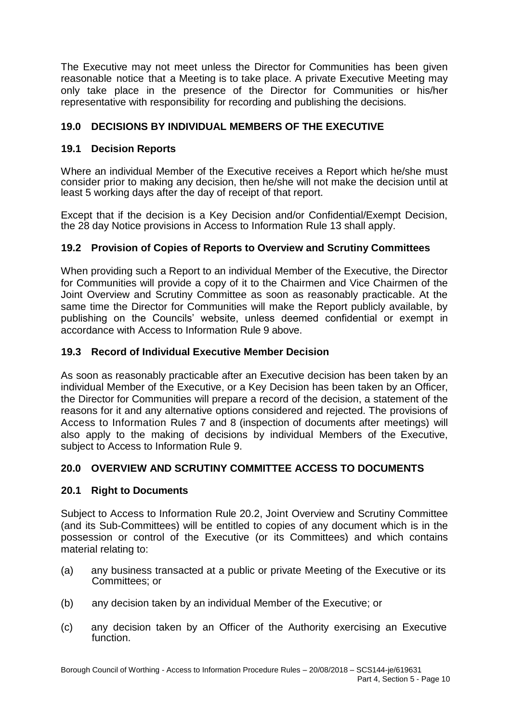The Executive may not meet unless the Director for Communities has been given reasonable notice that a Meeting is to take place. A private Executive Meeting may only take place in the presence of the Director for Communities or his/her representative with responsibility for recording and publishing the decisions.

# **19.0 DECISIONS BY INDIVIDUAL MEMBERS OF THE EXECUTIVE**

# **19.1 Decision Reports**

Where an individual Member of the Executive receives a Report which he/she must consider prior to making any decision, then he/she will not make the decision until at least 5 working days after the day of receipt of that report.

Except that if the decision is a Key Decision and/or Confidential/Exempt Decision, the 28 day Notice provisions in Access to Information Rule 13 shall apply.

# **19.2 Provision of Copies of Reports to Overview and Scrutiny Committees**

When providing such a Report to an individual Member of the Executive, the Director for Communities will provide a copy of it to the Chairmen and Vice Chairmen of the Joint Overview and Scrutiny Committee as soon as reasonably practicable. At the same time the Director for Communities will make the Report publicly available, by publishing on the Councils' website, unless deemed confidential or exempt in accordance with Access to Information Rule 9 above.

## **19.3 Record of Individual Executive Member Decision**

As soon as reasonably practicable after an Executive decision has been taken by an individual Member of the Executive, or a Key Decision has been taken by an Officer, the Director for Communities will prepare a record of the decision, a statement of the reasons for it and any alternative options considered and rejected. The provisions of Access to Information Rules 7 and 8 (inspection of documents after meetings) will also apply to the making of decisions by individual Members of the Executive, subject to Access to Information Rule 9.

# **20.0 OVERVIEW AND SCRUTINY COMMITTEE ACCESS TO DOCUMENTS**

### **20.1 Right to Documents**

Subject to Access to Information Rule 20.2, Joint Overview and Scrutiny Committee (and its Sub-Committees) will be entitled to copies of any document which is in the possession or control of the Executive (or its Committees) and which contains material relating to:

- (a) any business transacted at a public or private Meeting of the Executive or its Committees; or
- (b) any decision taken by an individual Member of the Executive; or
- (c) any decision taken by an Officer of the Authority exercising an Executive function.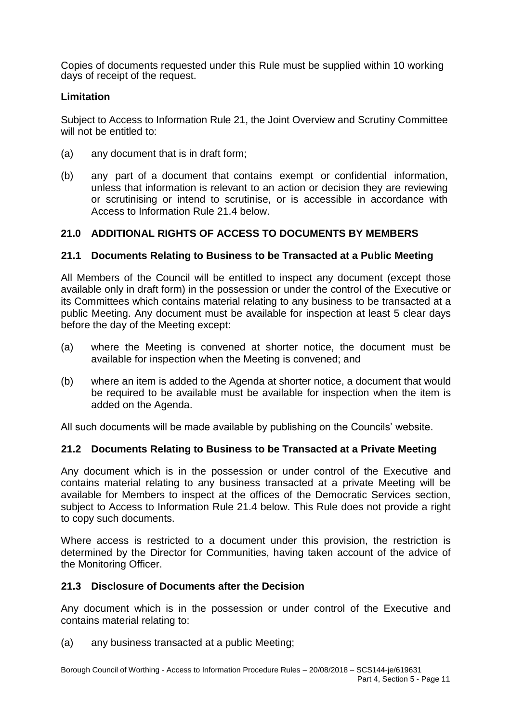Copies of documents requested under this Rule must be supplied within 10 working days of receipt of the request.

## **Limitation**

Subject to Access to Information Rule 21, the Joint Overview and Scrutiny Committee will not be entitled to:

- (a) any document that is in draft form;
- (b) any part of a document that contains exempt or confidential information, unless that information is relevant to an action or decision they are reviewing or scrutinising or intend to scrutinise, or is accessible in accordance with Access to Information Rule 21.4 below.

# **21.0 ADDITIONAL RIGHTS OF ACCESS TO DOCUMENTS BY MEMBERS**

## **21.1 Documents Relating to Business to be Transacted at a Public Meeting**

All Members of the Council will be entitled to inspect any document (except those available only in draft form) in the possession or under the control of the Executive or its Committees which contains material relating to any business to be transacted at a public Meeting. Any document must be available for inspection at least 5 clear days before the day of the Meeting except:

- (a) where the Meeting is convened at shorter notice, the document must be available for inspection when the Meeting is convened; and
- (b) where an item is added to the Agenda at shorter notice, a document that would be required to be available must be available for inspection when the item is added on the Agenda.

All such documents will be made available by publishing on the Councils' website.

### **21.2 Documents Relating to Business to be Transacted at a Private Meeting**

Any document which is in the possession or under control of the Executive and contains material relating to any business transacted at a private Meeting will be available for Members to inspect at the offices of the Democratic Services section, subject to Access to Information Rule 21.4 below. This Rule does not provide a right to copy such documents.

Where access is restricted to a document under this provision, the restriction is determined by the Director for Communities, having taken account of the advice of the Monitoring Officer.

### **21.3 Disclosure of Documents after the Decision**

Any document which is in the possession or under control of the Executive and contains material relating to:

(a) any business transacted at a public Meeting;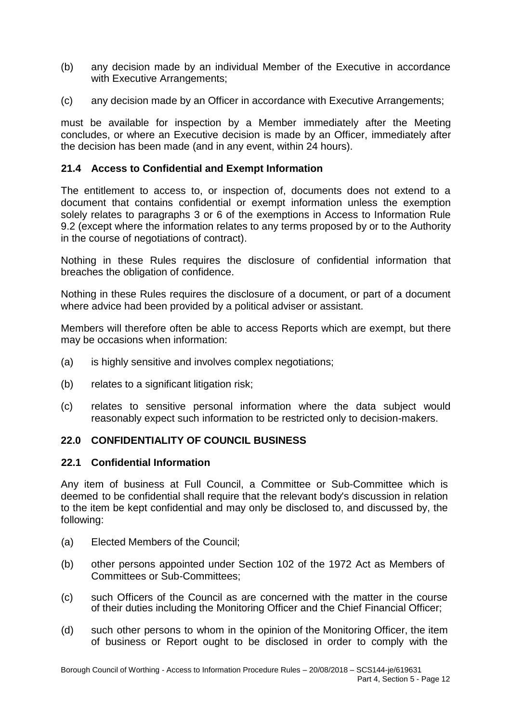- (b) any decision made by an individual Member of the Executive in accordance with Executive Arrangements;
- (c) any decision made by an Officer in accordance with Executive Arrangements;

must be available for inspection by a Member immediately after the Meeting concludes, or where an Executive decision is made by an Officer, immediately after the decision has been made (and in any event, within 24 hours).

### **21.4 Access to Confidential and Exempt Information**

The entitlement to access to, or inspection of, documents does not extend to a document that contains confidential or exempt information unless the exemption solely relates to paragraphs 3 or 6 of the exemptions in Access to Information Rule 9.2 (except where the information relates to any terms proposed by or to the Authority in the course of negotiations of contract).

Nothing in these Rules requires the disclosure of confidential information that breaches the obligation of confidence.

Nothing in these Rules requires the disclosure of a document, or part of a document where advice had been provided by a political adviser or assistant.

Members will therefore often be able to access Reports which are exempt, but there may be occasions when information:

- (a) is highly sensitive and involves complex negotiations;
- (b) relates to a significant litigation risk:
- (c) relates to sensitive personal information where the data subject would reasonably expect such information to be restricted only to decision-makers.

### **22.0 CONFIDENTIALITY OF COUNCIL BUSINESS**

### **22.1 Confidential Information**

Any item of business at Full Council, a Committee or Sub-Committee which is deemed to be confidential shall require that the relevant body's discussion in relation to the item be kept confidential and may only be disclosed to, and discussed by, the following:

- (a) Elected Members of the Council;
- (b) other persons appointed under Section 102 of the 1972 Act as Members of Committees or Sub-Committees;
- (c) such Officers of the Council as are concerned with the matter in the course of their duties including the Monitoring Officer and the Chief Financial Officer;
- (d) such other persons to whom in the opinion of the Monitoring Officer, the item of business or Report ought to be disclosed in order to comply with the